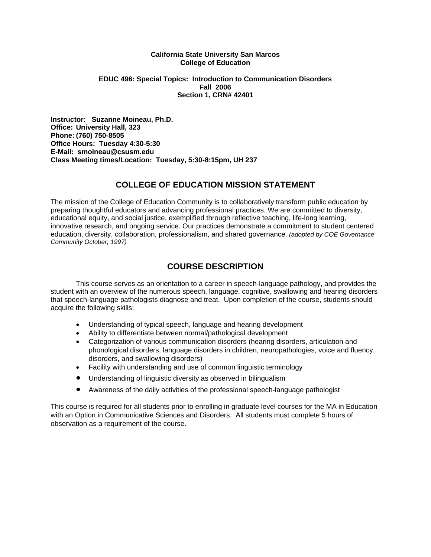#### **California State University San Marcos College of Education**

#### **EDUC 496: Special Topics: Introduction to Communication Disorders Fall 2006 Section 1, CRN# 42401**

**Instructor: Suzanne Moineau, Ph.D. Office: University Hall, 323 Phone: (760) 750-8505 Office Hours: Tuesday 4:30-5:30 E-Mail: smoineau@csusm.edu Class Meeting times/Location: Tuesday, 5:30-8:15pm, UH 237** 

## **COLLEGE OF EDUCATION MISSION STATEMENT**

The mission of the College of Education Community is to collaboratively transform public education by preparing thoughtful educators and advancing professional practices. We are committed to diversity, educational equity, and social justice, exemplified through reflective teaching, life-long learning, innovative research, and ongoing service. Our practices demonstrate a commitment to student centered education, diversity, collaboration, professionalism, and shared governance. *(adopted by COE Governance Community October, 1997)* 

# **COURSE DESCRIPTION**

 This course serves as an orientation to a career in speech-language pathology, and provides the student with an overview of the numerous speech, language, cognitive, swallowing and hearing disorders that speech-language pathologists diagnose and treat. Upon completion of the course, students should acquire the following skills:

- Understanding of typical speech, language and hearing development
- Ability to differentiate between normal/pathological development
- Categorization of various communication disorders (hearing disorders, articulation and phonological disorders, language disorders in children, neuropathologies, voice and fluency disorders, and swallowing disorders)
- Facility with understanding and use of common linguistic terminology
- Understanding of linguistic diversity as observed in bilingualism
- Awareness of the daily activities of the professional speech-language pathologist

This course is required for all students prior to enrolling in graduate level courses for the MA in Education with an Option in Communicative Sciences and Disorders. All students must complete 5 hours of observation as a requirement of the course.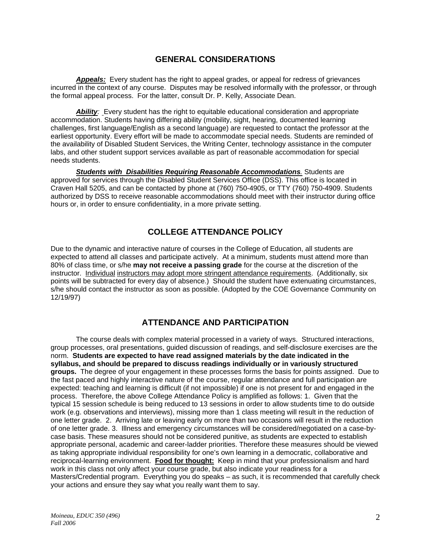## **GENERAL CONSIDERATIONS**

*Appeals:* Every student has the right to appeal grades, or appeal for redress of grievances incurred in the context of any course. Disputes may be resolved informally with the professor, or through the formal appeal process. For the latter, consult Dr. P. Kelly, Associate Dean.

*Ability:* Every student has the right to equitable educational consideration and appropriate accommodation. Students having differing ability (mobility, sight, hearing, documented learning challenges, first language/English as a second language) are requested to contact the professor at the earliest opportunity. Every effort will be made to accommodate special needs. Students are reminded of the availability of Disabled Student Services, the Writing Center, technology assistance in the computer labs, and other student support services available as part of reasonable accommodation for special needs students.

*Students with Disabilities Requiring Reasonable Accommodations.* Students are approved for services through the Disabled Student Services Office (DSS). This office is located in Craven Hall 5205, and can be contacted by phone at (760) 750-4905, or TTY (760) 750-4909. Students authorized by DSS to receive reasonable accommodations should meet with their instructor during office hours or, in order to ensure confidentiality, in a more private setting.

## **COLLEGE ATTENDANCE POLICY**

Due to the dynamic and interactive nature of courses in the College of Education, all students are expected to attend all classes and participate actively. At a minimum, students must attend more than 80% of class time, or s/he **may not receive a passing grade** for the course at the discretion of the instructor. Individual instructors may adopt more stringent attendance requirements. (Additionally, six points will be subtracted for every day of absence.) Should the student have extenuating circumstances, s/he should contact the instructor as soon as possible. (Adopted by the COE Governance Community on 12/19/97)

## **ATTENDANCE AND PARTICIPATION**

The course deals with complex material processed in a variety of ways. Structured interactions, group processes, oral presentations, guided discussion of readings, and self-disclosure exercises are the norm. **Students are expected to have read assigned materials by the date indicated in the syllabus, and should be prepared to discuss readings individually or in variously structured groups.** The degree of your engagement in these processes forms the basis for points assigned. Due to the fast paced and highly interactive nature of the course, regular attendance and full participation are expected: teaching and learning is difficult (if not impossible) if one is not present for and engaged in the process. Therefore, the above College Attendance Policy is amplified as follows: 1. Given that the typical 15 session schedule is being reduced to 13 sessions in order to allow students time to do outside work (e.g. observations and interviews), missing more than 1 class meeting will result in the reduction of one letter grade. 2. Arriving late or leaving early on more than two occasions will result in the reduction of one letter grade. 3. Illness and emergency circumstances will be considered/negotiated on a case-bycase basis. These measures should not be considered punitive, as students are expected to establish appropriate personal, academic and career-ladder priorities. Therefore these measures should be viewed as taking appropriate individual responsibility for one's own learning in a democratic, collaborative and reciprocal-learning environment. **Food for thought:** Keep in mind that your professionalism and hard work in this class not only affect your course grade, but also indicate your readiness for a Masters/Credential program. Everything you do speaks – as such, it is recommended that carefully check your actions and ensure they say what you really want them to say.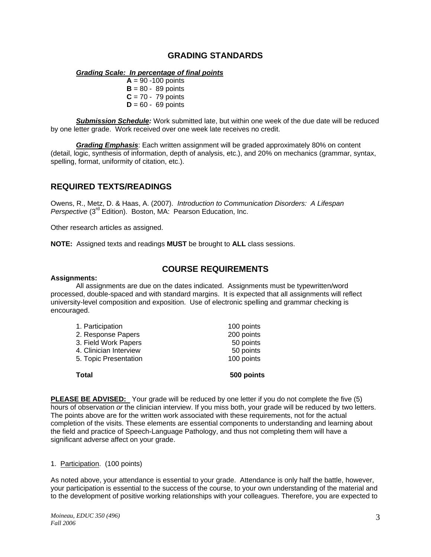## **GRADING STANDARDS**

#### *Grading Scale: In percentage of final points*

 $A = 90 - 100$  points  $B = 80 - 89$  points  $C = 70 - 79$  points  $D = 60 - 69$  points

*Submission Schedule:* Work submitted late, but within one week of the due date will be reduced by one letter grade. Work received over one week late receives no credit.

*Grading Emphasis*: Each written assignment will be graded approximately 80% on content (detail, logic, synthesis of information, depth of analysis, etc.), and 20% on mechanics (grammar, syntax, spelling, format, uniformity of citation, etc.).

### **REQUIRED TEXTS/READINGS**

Owens, R., Metz, D. & Haas, A. (2007). *Introduction to Communication Disorders: A Lifespan Perspective* (3<sup>rd</sup> Edition). Boston, MA: Pearson Education, Inc.

Other research articles as assigned.

**NOTE:** Assigned texts and readings **MUST** be brought to **ALL** class sessions.

### **COURSE REQUIREMENTS**

#### **Assignments:**

 All assignments are due on the dates indicated. Assignments must be typewritten/word processed, double-spaced and with standard margins. It is expected that all assignments will reflect university-level composition and exposition. Use of electronic spelling and grammar checking is encouraged.

| Total                  | 500 points |
|------------------------|------------|
| 5. Topic Presentation  | 100 points |
| 4. Clinician Interview | 50 points  |
| 3. Field Work Papers   | 50 points  |
| 2. Response Papers     | 200 points |
| 1. Participation       | 100 points |
|                        |            |

**PLEASE BE ADVISED:** Your grade will be reduced by one letter if you do not complete the five (5) hours of observation *or* the clinician interview. If you miss both, your grade will be reduced by two letters. The points above are for the written work associated with these requirements, not for the actual completion of the visits. These elements are essential components to understanding and learning about the field and practice of Speech-Language Pathology, and thus not completing them will have a significant adverse affect on your grade.

#### 1. Participation. (100 points)

As noted above, your attendance is essential to your grade. Attendance is only half the battle, however, your participation is essential to the success of the course, to your own understanding of the material and to the development of positive working relationships with your colleagues. Therefore, you are expected to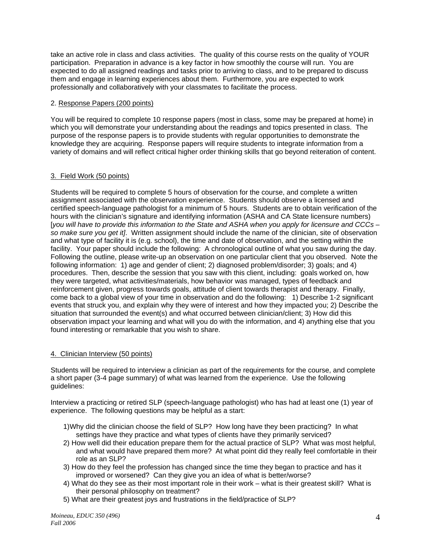take an active role in class and class activities. The quality of this course rests on the quality of YOUR participation. Preparation in advance is a key factor in how smoothly the course will run. You are expected to do all assigned readings and tasks prior to arriving to class, and to be prepared to discuss them and engage in learning experiences about them. Furthermore, you are expected to work professionally and collaboratively with your classmates to facilitate the process.

### 2. Response Papers (200 points)

You will be required to complete 10 response papers (most in class, some may be prepared at home) in which you will demonstrate your understanding about the readings and topics presented in class. The purpose of the response papers is to provide students with regular opportunities to demonstrate the knowledge they are acquiring. Response papers will require students to integrate information from a variety of domains and will reflect critical higher order thinking skills that go beyond reiteration of content.

### 3. Field Work (50 points)

Students will be required to complete 5 hours of observation for the course, and complete a written assignment associated with the observation experience. Students should observe a licensed and certified speech-language pathologist for a minimum of 5 hours. Students are to obtain verification of the hours with the clinician's signature and identifying information (ASHA and CA State licensure numbers) [*you will have to provide this information to the State and ASHA when you apply for licensure and CCCs – so make sure you get it]*. Written assignment should include the name of the clinician, site of observation and what type of facility it is (e.g. school), the time and date of observation, and the setting within the facility. Your paper should include the following: A chronological outline of what you saw during the day. Following the outline, please write-up an observation on one particular client that you observed. Note the following information: 1) age and gender of client; 2) diagnosed problem/disorder; 3) goals; and 4) procedures. Then, describe the session that you saw with this client, including: goals worked on, how they were targeted, what activities/materials, how behavior was managed, types of feedback and reinforcement given, progress towards goals, attitude of client towards therapist and therapy. Finally, come back to a global view of your time in observation and do the following: 1) Describe 1-2 significant events that struck you, and explain why they were of interest and how they impacted you; 2) Describe the situation that surrounded the event(s) and what occurred between clinician/client; 3) How did this observation impact your learning and what will you do with the information, and 4) anything else that you found interesting or remarkable that you wish to share.

### 4. Clinician Interview (50 points)

Students will be required to interview a clinician as part of the requirements for the course, and complete a short paper (3-4 page summary) of what was learned from the experience. Use the following guidelines:

Interview a practicing or retired SLP (speech-language pathologist) who has had at least one (1) year of experience. The following questions may be helpful as a start:

- 1) Why did the clinician choose the field of SLP? How long have they been practicing? In what settings have they practice and what types of clients have they primarily serviced?
- 2)How well did their education prepare them for the actual practice of SLP? What was most helpful, and what would have prepared them more? At what point did they really feel comfortable in their role as an SLP?
- 3) How do they feel the profession has changed since the time they began to practice and has it improved or worsened? Can they give you an idea of what is better/worse?
- 4)What do they see as their most important role in their work what is their greatest skill? What is their personal philosophy on treatment?
- 5)What are their greatest joys and frustrations in the field/practice of SLP?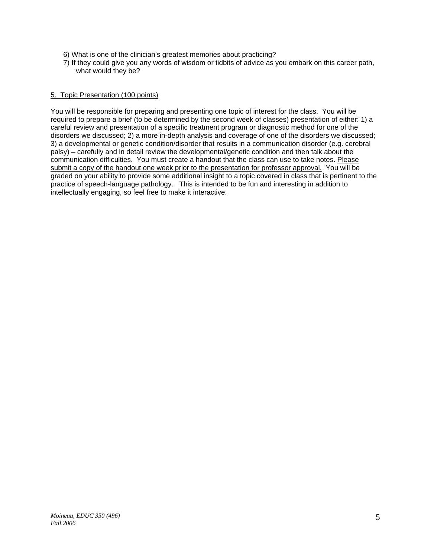- 6)What is one of the clinician's greatest memories about practicing?
- 7)If they could give you any words of wisdom or tidbits of advice as you embark on this career path, what would they be?

#### 5. Topic Presentation (100 points)

You will be responsible for preparing and presenting one topic of interest for the class. You will be required to prepare a brief (to be determined by the second week of classes) presentation of either: 1) a careful review and presentation of a specific treatment program or diagnostic method for one of the disorders we discussed; 2) a more in-depth analysis and coverage of one of the disorders we discussed; 3) a developmental or genetic condition/disorder that results in a communication disorder (e.g. cerebral palsy) – carefully and in detail review the developmental/genetic condition and then talk about the communication difficulties. You must create a handout that the class can use to take notes. Please submit a copy of the handout one week prior to the presentation for professor approval. You will be graded on your ability to provide some additional insight to a topic covered in class that is pertinent to the practice of speech-language pathology. This is intended to be fun and interesting in addition to intellectually engaging, so feel free to make it interactive.